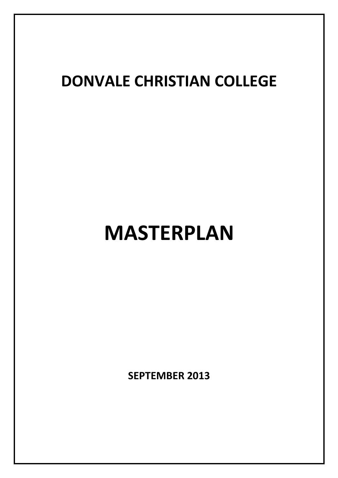## DONVALE CHRISTIAN COLLEGE

# MASTERPLAN

SEPTEMBER 2013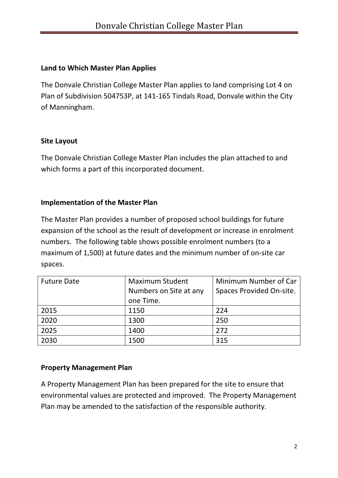#### Land to Which Master Plan Applies

The Donvale Christian College Master Plan applies to land comprising Lot 4 on Plan of Subdivision 504753P, at 141-165 Tindals Road, Donvale within the City of Manningham.

### Site Layout

The Donvale Christian College Master Plan includes the plan attached to and which forms a part of this incorporated document.

### Implementation of the Master Plan

The Master Plan provides a number of proposed school buildings for future expansion of the school as the result of development or increase in enrolment numbers. The following table shows possible enrolment numbers (to a maximum of 1,500) at future dates and the minimum number of on-site car spaces.

| <b>Future Date</b> | <b>Maximum Student</b> | Minimum Number of Car    |
|--------------------|------------------------|--------------------------|
|                    | Numbers on Site at any | Spaces Provided On-site. |
|                    | one Time.              |                          |
| 2015               | 1150                   | 224                      |
| 2020               | 1300                   | 250                      |
| 2025               | 1400                   | 272                      |
| 2030               | 1500                   | 315                      |

#### Property Management Plan

A Property Management Plan has been prepared for the site to ensure that environmental values are protected and improved. The Property Management Plan may be amended to the satisfaction of the responsible authority.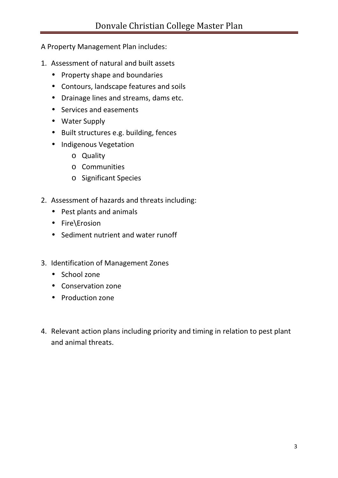A Property Management Plan includes:

- 1. Assessment of natural and built assets
	- Property shape and boundaries
	- Contours, landscape features and soils
	- Drainage lines and streams, dams etc.
	- Services and easements
	- Water Supply
	- Built structures e.g. building, fences
	- Indigenous Vegetation
		- o Quality
		- o Communities
		- o Significant Species
- 2. Assessment of hazards and threats including:
	- Pest plants and animals
	- Fire\Erosion
	- Sediment nutrient and water runoff
- 3. Identification of Management Zones
	- School zone
	- Conservation zone
	- Production zone
- 4. Relevant action plans including priority and timing in relation to pest plant and animal threats.